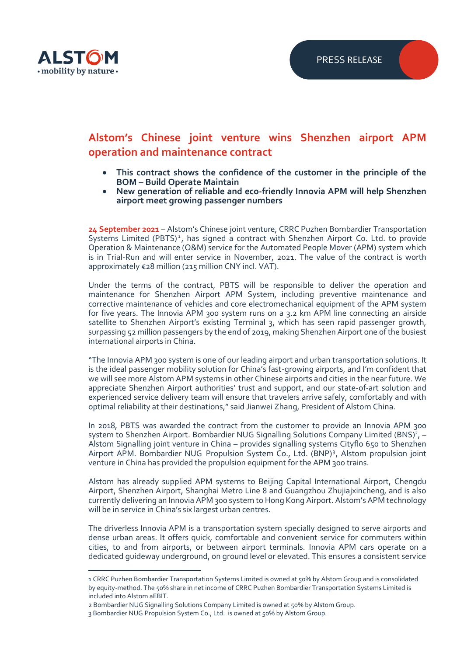

## **Alstom's Chinese joint venture wins Shenzhen airport APM operation and maintenance contract**

- **This contract shows the confidence of the customer in the principle of the BOM – Build Operate Maintain**
- **New generation of reliable and eco-friendly Innovia APM will help Shenzhen airport meet growing passenger numbers**

**24 September 2021** – Alstom's Chinese joint venture, CRRC Puzhen Bombardier Transportation Systems Limited (PBTS)<sup>1</sup>, has signed a contract with Shenzhen Airport Co. Ltd. to provide Operation & Maintenance (O&M) service for the Automated People Mover (APM) system which is in Trial-Run and will enter service in November, 2021. The value of the contract is worth approximately €28 million (215 million CNY incl. VAT).

Under the terms of the contract, PBTS will be responsible to deliver the operation and maintenance for Shenzhen Airport APM System, including preventive maintenance and corrective maintenance of vehicles and core electromechanical equipment of the APM system for five years. The Innovia APM 300 system runs on a 3.2 km APM line connecting an airside satellite to Shenzhen Airport's existing Terminal 3, which has seen rapid passenger growth, surpassing 52 million passengers by the end of 2019, making Shenzhen Airport one of the busiest international airports in China.

"The Innovia APM 300 system is one of our leading airport and urban transportation solutions. It is the ideal passenger mobility solution for China's fast-growing airports, and I'm confident that we will see more Alstom APM systems in other Chinese airports and cities in the near future. We appreciate Shenzhen Airport authorities' trust and support, and our state-of-art solution and experienced service delivery team will ensure that travelers arrive safely, comfortably and with optimal reliability at their destinations," said Jianwei Zhang, President of Alstom China.

In 2018, PBTS was awarded the contract from the customer to provide an Innovia APM 300 system to Shenzhen Airport. Bombardier NUG Signalling Solutions Company Limited (BNS)<sup>2</sup>, -Alstom Signalling joint venture in China – provides signalling systems Cityflo 650 to Shenzhen Airport APM. Bombardier NUG Propulsion System Co., Ltd. (BNP)<sup>3</sup>, Alstom propulsion joint venture in China has provided the propulsion equipment for the APM 300 trains.

Alstom has already supplied APM systems to Beijing Capital International Airport, Chengdu Airport, Shenzhen Airport, Shanghai Metro Line 8 and Guangzhou Zhujiajxincheng, and is also currently delivering an Innovia APM 300 system to Hong Kong Airport. Alstom's APM technology will be in service in China's six largest urban centres.

The driverless Innovia APM is a transportation system specially designed to serve airports and dense urban areas. It offers quick, comfortable and convenient service for commuters within cities, to and from airports, or between airport terminals. Innovia APM cars operate on a dedicated guideway underground, on ground level or elevated. This ensures a consistent service

<sup>1</sup> CRRC Puzhen Bombardier Transportation Systems Limited is owned at 50% by Alstom Group and is consolidated by equity-method. The 50% share in net income of CRRC Puzhen Bombardier Transportation Systems Limited is included into Alstom aEBIT.

<sup>2</sup> Bombardier NUG Signalling Solutions Company Limited is owned at 50% by Alstom Group.

<sup>3</sup> Bombardier NUG Propulsion System Co., Ltd. is owned at 50% by Alstom Group.